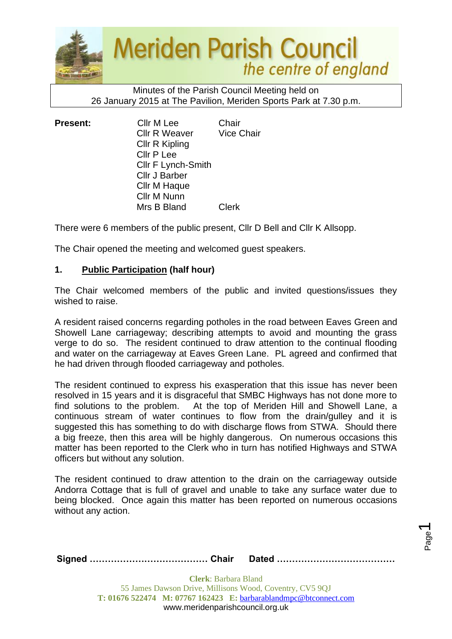

#### Minutes of the Parish Council Meeting held on 26 January 2015 at The Pavilion, Meriden Sports Park at 7.30 p.m.

| <b>Present:</b> | Cllr M Lee           | Chair             |
|-----------------|----------------------|-------------------|
|                 | <b>Cllr R Weaver</b> | <b>Vice Chair</b> |
|                 | Cllr R Kipling       |                   |
|                 | Cllr P Lee           |                   |
|                 | Cllr F Lynch-Smith   |                   |
|                 | <b>Cllr J Barber</b> |                   |
|                 | Cllr M Haque         |                   |
|                 | Cllr M Nunn          |                   |
|                 | Mrs B Bland          | Clerk             |

There were 6 members of the public present, Cllr D Bell and Cllr K Allsopp.

The Chair opened the meeting and welcomed guest speakers.

## **1. Public Participation (half hour)**

The Chair welcomed members of the public and invited questions/issues they wished to raise.

A resident raised concerns regarding potholes in the road between Eaves Green and Showell Lane carriageway; describing attempts to avoid and mounting the grass verge to do so. The resident continued to draw attention to the continual flooding and water on the carriageway at Eaves Green Lane. PL agreed and confirmed that he had driven through flooded carriageway and potholes.

The resident continued to express his exasperation that this issue has never been resolved in 15 years and it is disgraceful that SMBC Highways has not done more to find solutions to the problem. At the top of Meriden Hill and Showell Lane, a continuous stream of water continues to flow from the drain/gulley and it is suggested this has something to do with discharge flows from STWA. Should there a big freeze, then this area will be highly dangerous. On numerous occasions this matter has been reported to the Clerk who in turn has notified Highways and STWA officers but without any solution.

The resident continued to draw attention to the drain on the carriageway outside Andorra Cottage that is full of gravel and unable to take any surface water due to being blocked. Once again this matter has been reported on numerous occasions without any action.

|--|--|

Page  $\overline{\phantom{0}}$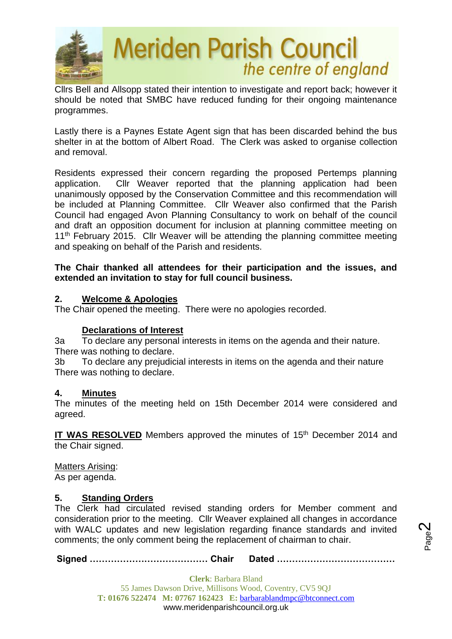

Cllrs Bell and Allsopp stated their intention to investigate and report back; however it should be noted that SMBC have reduced funding for their ongoing maintenance programmes.

Lastly there is a Paynes Estate Agent sign that has been discarded behind the bus shelter in at the bottom of Albert Road. The Clerk was asked to organise collection and removal.

Residents expressed their concern regarding the proposed Pertemps planning application. Cllr Weaver reported that the planning application had been unanimously opposed by the Conservation Committee and this recommendation will be included at Planning Committee. Cllr Weaver also confirmed that the Parish Council had engaged Avon Planning Consultancy to work on behalf of the council and draft an opposition document for inclusion at planning committee meeting on 11<sup>th</sup> February 2015. Cllr Weaver will be attending the planning committee meeting and speaking on behalf of the Parish and residents.

## **The Chair thanked all attendees for their participation and the issues, and extended an invitation to stay for full council business.**

## **2. Welcome & Apologies**

The Chair opened the meeting. There were no apologies recorded.

## **Declarations of Interest**

3a To declare any personal interests in items on the agenda and their nature. There was nothing to declare.

3b To declare any prejudicial interests in items on the agenda and their nature There was nothing to declare.

## **4. Minutes**

The minutes of the meeting held on 15th December 2014 were considered and agreed.

**IT WAS RESOLVED** Members approved the minutes of 15<sup>th</sup> December 2014 and the Chair signed.

Matters Arising: As per agenda.

## **5. Standing Orders**

The Clerk had circulated revised standing orders for Member comment and consideration prior to the meeting. Cllr Weaver explained all changes in accordance with WALC updates and new legislation regarding finance standards and invited comments; the only comment being the replacement of chairman to chair.

**Signed ………………………………… Chair Dated …………………………………**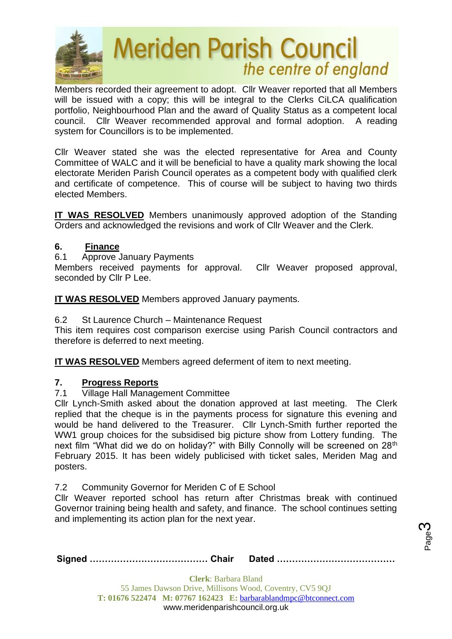

Members recorded their agreement to adopt. Cllr Weaver reported that all Members will be issued with a copy; this will be integral to the Clerks CiLCA qualification portfolio, Neighbourhood Plan and the award of Quality Status as a competent local council. Cllr Weaver recommended approval and formal adoption. A reading system for Councillors is to be implemented.

Cllr Weaver stated she was the elected representative for Area and County Committee of WALC and it will be beneficial to have a quality mark showing the local electorate Meriden Parish Council operates as a competent body with qualified clerk and certificate of competence. This of course will be subject to having two thirds elected Members.

**IT WAS RESOLVED** Members unanimously approved adoption of the Standing Orders and acknowledged the revisions and work of Cllr Weaver and the Clerk.

## **6. Finance**

6.1 Approve January Payments

Members received payments for approval. Cllr Weaver proposed approval, seconded by Cllr P Lee.

**IT WAS RESOLVED** Members approved January payments.

6.2 St Laurence Church – Maintenance Request

This item requires cost comparison exercise using Parish Council contractors and therefore is deferred to next meeting.

**IT WAS RESOLVED** Members agreed deferment of item to next meeting.

# **7. Progress Reports**

## 7.1 Village Hall Management Committee

Cllr Lynch-Smith asked about the donation approved at last meeting. The Clerk replied that the cheque is in the payments process for signature this evening and would be hand delivered to the Treasurer. Cllr Lynch-Smith further reported the WW1 group choices for the subsidised big picture show from Lottery funding. The next film "What did we do on holiday?" with Billy Connolly will be screened on 28<sup>th</sup> February 2015. It has been widely publicised with ticket sales, Meriden Mag and posters.

7.2 Community Governor for Meriden C of E School

Cllr Weaver reported school has return after Christmas break with continued Governor training being health and safety, and finance. The school continues setting and implementing its action plan for the next year.

**Signed ………………………………… Chair Dated …………………………………**

Page ო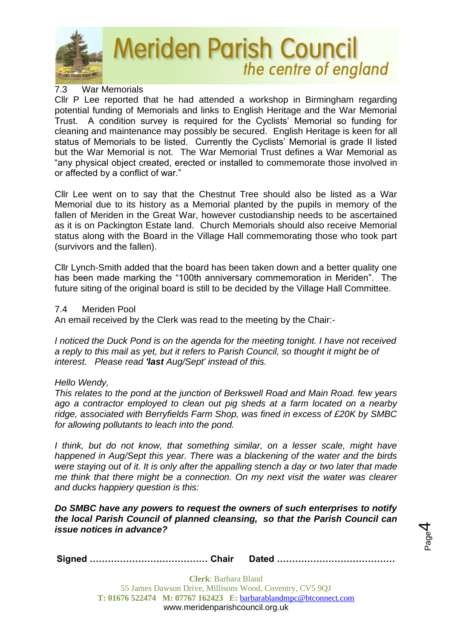

#### 7.3 War Memorials

Cllr P Lee reported that he had attended a workshop in Birmingham regarding potential funding of Memorials and links to English Heritage and the War Memorial Trust. A condition survey is required for the Cyclists' Memorial so funding for cleaning and maintenance may possibly be secured. English Heritage is keen for all status of Memorials to be listed. Currently the Cyclists' Memorial is grade II listed but the War Memorial is not. The War Memorial Trust defines a War Memorial as "any physical object created, erected or installed to commemorate those involved in or affected by a conflict of war."

Cllr Lee went on to say that the Chestnut Tree should also be listed as a War Memorial due to its history as a Memorial planted by the pupils in memory of the fallen of Meriden in the Great War, however custodianship needs to be ascertained as it is on Packington Estate land. Church Memorials should also receive Memorial status along with the Board in the Village Hall commemorating those who took part (survivors and the fallen).

Cllr Lynch-Smith added that the board has been taken down and a better quality one has been made marking the "100th anniversary commemoration in Meriden". The future siting of the original board is still to be decided by the Village Hall Committee.

#### 7.4 Meriden Pool

An email received by the Clerk was read to the meeting by the Chair:-

*I noticed the Duck Pond is on the agenda for the meeting tonight. I have not received a reply to this mail as yet, but it refers to Parish Council, so thought it might be of interest. Please read 'last Aug/Sept' instead of this.*

## *Hello Wendy,*

*This relates to the pond at the junction of Berkswell Road and Main Road. few years ago a contractor employed to clean out pig sheds at a farm located on a nearby ridge, associated with Berryfields Farm Shop, was fined in excess of £20K by SMBC for allowing pollutants to leach into the pond.*

*I think, but do not know, that something similar, on a lesser scale, might have happened in Aug/Sept this year. There was a blackening of the water and the birds were staying out of it. It is only after the appalling stench a day or two later that made me think that there might be a connection. On my next visit the water was clearer and ducks happiery question is this:*

*Do SMBC have any powers to request the owners of such enterprises to notify the local Parish Council of planned cleansing, so that the Parish Council can issue notices in advance?*

Page 4

|--|--|--|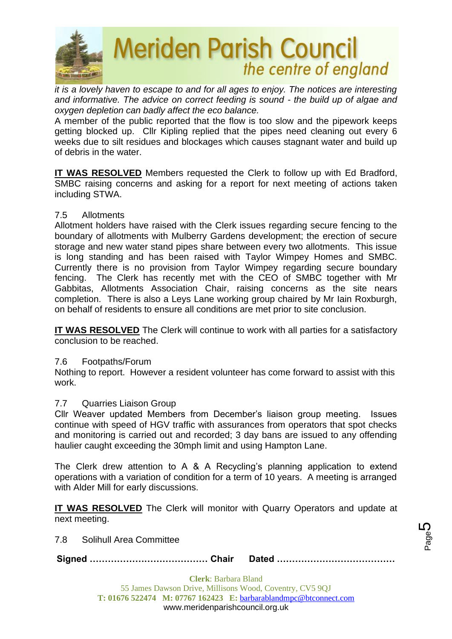

*it is a lovely haven to escape to and for all ages to enjoy. The notices are interesting and informative. The advice on correct feeding is sound - the build up of algae and oxygen depletion can badly affect the eco balance.*

A member of the public reported that the flow is too slow and the pipework keeps getting blocked up. Cllr Kipling replied that the pipes need cleaning out every 6 weeks due to silt residues and blockages which causes stagnant water and build up of debris in the water.

**IT WAS RESOLVED** Members requested the Clerk to follow up with Ed Bradford, SMBC raising concerns and asking for a report for next meeting of actions taken including STWA.

#### 7.5 Allotments

Allotment holders have raised with the Clerk issues regarding secure fencing to the boundary of allotments with Mulberry Gardens development; the erection of secure storage and new water stand pipes share between every two allotments. This issue is long standing and has been raised with Taylor Wimpey Homes and SMBC. Currently there is no provision from Taylor Wimpey regarding secure boundary fencing. The Clerk has recently met with the CEO of SMBC together with Mr Gabbitas, Allotments Association Chair, raising concerns as the site nears completion. There is also a Leys Lane working group chaired by Mr Iain Roxburgh, on behalf of residents to ensure all conditions are met prior to site conclusion.

**IT WAS RESOLVED** The Clerk will continue to work with all parties for a satisfactory conclusion to be reached.

#### 7.6 Footpaths/Forum

Nothing to report. However a resident volunteer has come forward to assist with this work.

## 7.7 Quarries Liaison Group

Cllr Weaver updated Members from December's liaison group meeting. Issues continue with speed of HGV traffic with assurances from operators that spot checks and monitoring is carried out and recorded; 3 day bans are issued to any offending haulier caught exceeding the 30mph limit and using Hampton Lane.

The Clerk drew attention to A & A Recycling's planning application to extend operations with a variation of condition for a term of 10 years. A meeting is arranged with Alder Mill for early discussions.

**IT WAS RESOLVED** The Clerk will monitor with Quarry Operators and update at next meeting.

7.8 Solihull Area Committee

**Signed ………………………………… Chair Dated …………………………………**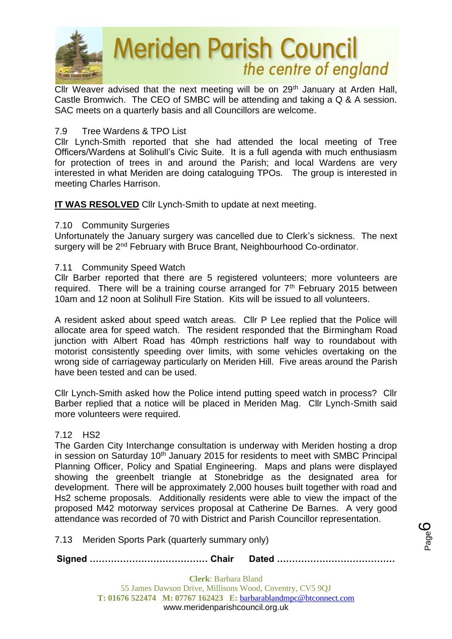

Cllr Weaver advised that the next meeting will be on 29<sup>th</sup> January at Arden Hall, Castle Bromwich. The CEO of SMBC will be attending and taking a Q & A session. SAC meets on a quarterly basis and all Councillors are welcome.

## 7.9 Tree Wardens & TPO List

Cllr Lynch-Smith reported that she had attended the local meeting of Tree Officers/Wardens at Solihull's Civic Suite. It is a full agenda with much enthusiasm for protection of trees in and around the Parish; and local Wardens are very interested in what Meriden are doing cataloguing TPOs. The group is interested in meeting Charles Harrison.

**IT WAS RESOLVED** Cllr Lynch-Smith to update at next meeting.

#### 7.10 Community Surgeries

Unfortunately the January surgery was cancelled due to Clerk's sickness. The next surgery will be 2<sup>nd</sup> February with Bruce Brant, Neighbourhood Co-ordinator.

#### 7.11 Community Speed Watch

Cllr Barber reported that there are 5 registered volunteers; more volunteers are required. There will be a training course arranged for  $7<sup>th</sup>$  February 2015 between 10am and 12 noon at Solihull Fire Station. Kits will be issued to all volunteers.

A resident asked about speed watch areas. Cllr P Lee replied that the Police will allocate area for speed watch. The resident responded that the Birmingham Road junction with Albert Road has 40mph restrictions half way to roundabout with motorist consistently speeding over limits, with some vehicles overtaking on the wrong side of carriageway particularly on Meriden Hill. Five areas around the Parish have been tested and can be used.

Cllr Lynch-Smith asked how the Police intend putting speed watch in process? Cllr Barber replied that a notice will be placed in Meriden Mag. Cllr Lynch-Smith said more volunteers were required.

## 7.12 HS2

The Garden City Interchange consultation is underway with Meriden hosting a drop in session on Saturday 10<sup>th</sup> January 2015 for residents to meet with SMBC Principal Planning Officer, Policy and Spatial Engineering. Maps and plans were displayed showing the greenbelt triangle at Stonebridge as the designated area for development. There will be approximately 2,000 houses built together with road and Hs2 scheme proposals. Additionally residents were able to view the impact of the proposed M42 motorway services proposal at Catherine De Barnes. A very good attendance was recorded of 70 with District and Parish Councillor representation.

7.13Meriden Sports Park (quarterly summary only)

**Signed ………………………………… Chair Dated …………………………………**

Page ပ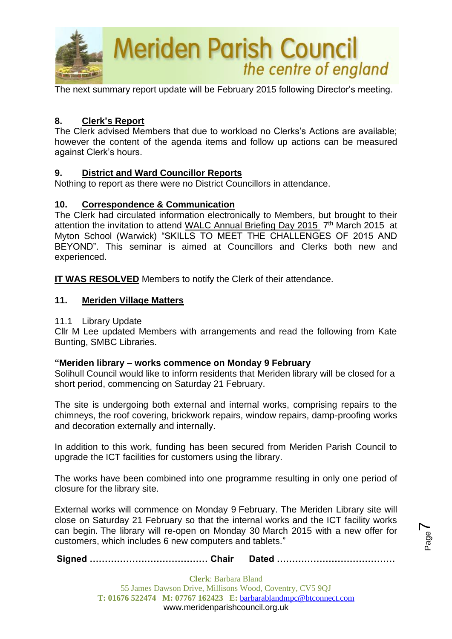

The next summary report update will be February 2015 following Director's meeting.

## **8. Clerk's Report**

The Clerk advised Members that due to workload no Clerks's Actions are available; however the content of the agenda items and follow up actions can be measured against Clerk's hours.

## **9. District and Ward Councillor Reports**

Nothing to report as there were no District Councillors in attendance.

## **10. Correspondence & Communication**

The Clerk had circulated information electronically to Members, but brought to their attention the invitation to attend WALC Annual Briefing Day 2015 7<sup>th</sup> March 2015 at Myton School (Warwick) "SKILLS TO MEET THE CHALLENGES OF 2015 AND BEYOND". This seminar is aimed at Councillors and Clerks both new and experienced.

**IT WAS RESOLVED** Members to notify the Clerk of their attendance.

## **11. Meriden Village Matters**

#### 11.1 Library Update

Cllr M Lee updated Members with arrangements and read the following from Kate Bunting, SMBC Libraries.

## **"Meriden library – works commence on Monday 9 February**

Solihull Council would like to inform residents that Meriden library will be closed for a short period, commencing on Saturday 21 February.

The site is undergoing both external and internal works, comprising repairs to the chimneys, the roof covering, brickwork repairs, window repairs, damp-proofing works and decoration externally and internally.

In addition to this work, funding has been secured from Meriden Parish Council to upgrade the ICT facilities for customers using the library.

The works have been combined into one programme resulting in only one period of closure for the library site.

External works will commence on Monday 9 February. The Meriden Library site will close on Saturday 21 February so that the internal works and the ICT facility works can begin. The library will re-open on Monday 30 March 2015 with a new offer for customers, which includes 6 new computers and tablets."

Page  $\blacktriangleright$ 

**Signed ………………………………… Chair Dated …………………………………**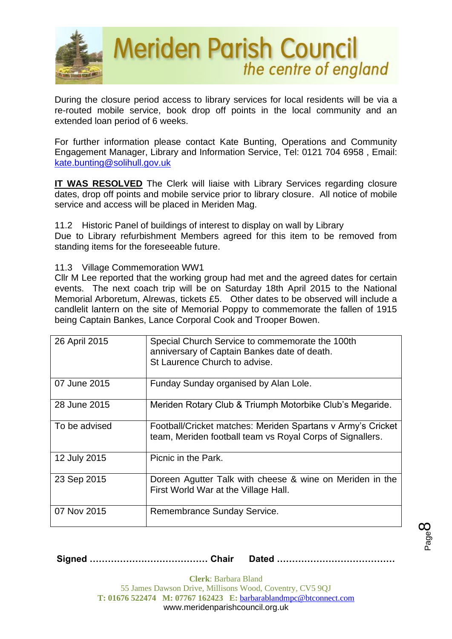

During the closure period access to library services for local residents will be via a re-routed mobile service, book drop off points in the local community and an extended loan period of 6 weeks.

For further information please contact Kate Bunting, Operations and Community Engagement Manager, Library and Information Service, Tel: 0121 704 6958 , Email: [kate.bunting@solihull.gov.uk](mailto:kate.bunting@solihull.gov.uk)

**IT WAS RESOLVED** The Clerk will liaise with Library Services regarding closure dates, drop off points and mobile service prior to library closure. All notice of mobile service and access will be placed in Meriden Mag.

11.2 Historic Panel of buildings of interest to display on wall by Library Due to Library refurbishment Members agreed for this item to be removed from standing items for the foreseeable future.

11.3 Village Commemoration WW1

Cllr M Lee reported that the working group had met and the agreed dates for certain events. The next coach trip will be on Saturday 18th April 2015 to the National Memorial Arboretum, Alrewas, tickets £5. Other dates to be observed will include a candlelit lantern on the site of Memorial Poppy to commemorate the fallen of 1915 being Captain Bankes, Lance Corporal Cook and Trooper Bowen.

| 26 April 2015 | Special Church Service to commemorate the 100th<br>anniversary of Captain Bankes date of death.<br>St Laurence Church to advise. |
|---------------|----------------------------------------------------------------------------------------------------------------------------------|
| 07 June 2015  | Funday Sunday organised by Alan Lole.                                                                                            |
| 28 June 2015  | Meriden Rotary Club & Triumph Motorbike Club's Megaride.                                                                         |
| To be advised | Football/Cricket matches: Meriden Spartans v Army's Cricket<br>team, Meriden football team vs Royal Corps of Signallers.         |
| 12 July 2015  | Picnic in the Park.                                                                                                              |
| 23 Sep 2015   | Doreen Agutter Talk with cheese & wine on Meriden in the<br>First World War at the Village Hall.                                 |
| 07 Nov 2015   | Remembrance Sunday Service.                                                                                                      |

**Signed ………………………………… Chair Dated …………………………………**

**Clerk**: Barbara Bland 55 James Dawson Drive, Millisons Wood, Coventry, CV5 9QJ **T: 01676 522474 M: 07767 162423 E:** [barbarablandmpc@btconnect.com](mailto:barbarablandmpc@btconnect.com) www.meridenparishcouncil.org.uk

Page  $\infty$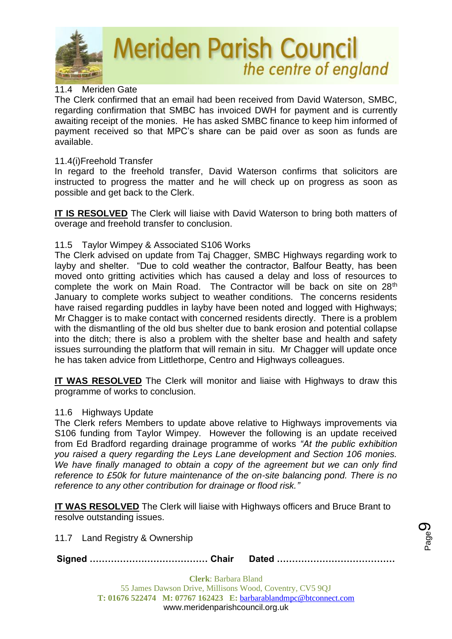

## 11.4 Meriden Gate

The Clerk confirmed that an email had been received from David Waterson, SMBC, regarding confirmation that SMBC has invoiced DWH for payment and is currently awaiting receipt of the monies. He has asked SMBC finance to keep him informed of payment received so that MPC's share can be paid over as soon as funds are available.

## 11.4(i)Freehold Transfer

In regard to the freehold transfer, David Waterson confirms that solicitors are instructed to progress the matter and he will check up on progress as soon as possible and get back to the Clerk.

**IT IS RESOLVED** The Clerk will liaise with David Waterson to bring both matters of overage and freehold transfer to conclusion.

## 11.5 Taylor Wimpey & Associated S106 Works

The Clerk advised on update from Taj Chagger, SMBC Highways regarding work to layby and shelter. "Due to cold weather the contractor, Balfour Beatty, has been moved onto gritting activities which has caused a delay and loss of resources to complete the work on Main Road. The Contractor will be back on site on 28<sup>th</sup> January to complete works subject to weather conditions. The concerns residents have raised regarding puddles in layby have been noted and logged with Highways; Mr Chagger is to make contact with concerned residents directly. There is a problem with the dismantling of the old bus shelter due to bank erosion and potential collapse into the ditch; there is also a problem with the shelter base and health and safety issues surrounding the platform that will remain in situ. Mr Chagger will update once he has taken advice from Littlethorpe, Centro and Highways colleagues.

**IT WAS RESOLVED** The Clerk will monitor and liaise with Highways to draw this programme of works to conclusion.

#### 11.6 Highways Update

The Clerk refers Members to update above relative to Highways improvements via S106 funding from Taylor Wimpey. However the following is an update received from Ed Bradford regarding drainage programme of works *"At the public exhibition you raised a query regarding the Leys Lane development and Section 106 monies. We have finally managed to obtain a copy of the agreement but we can only find reference to £50k for future maintenance of the on-site balancing pond. There is no reference to any other contribution for drainage or flood risk."*

**IT WAS RESOLVED** The Clerk will liaise with Highways officers and Bruce Brant to resolve outstanding issues.

11.7 Land Registry & Ownership

**Signed ………………………………… Chair Dated …………………………………**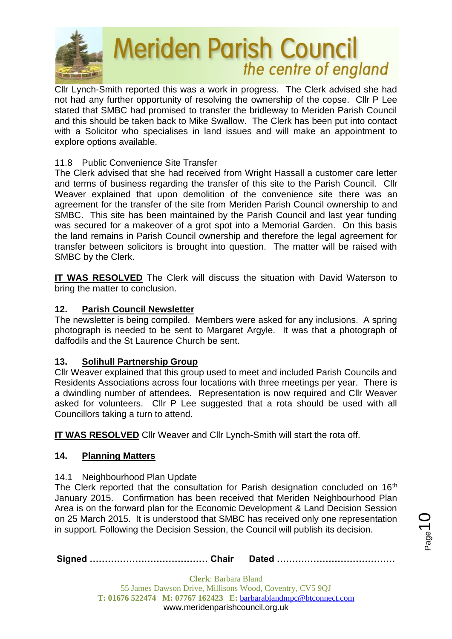

Cllr Lynch-Smith reported this was a work in progress. The Clerk advised she had not had any further opportunity of resolving the ownership of the copse. Cllr P Lee stated that SMBC had promised to transfer the bridleway to Meriden Parish Council and this should be taken back to Mike Swallow. The Clerk has been put into contact with a Solicitor who specialises in land issues and will make an appointment to explore options available.

# 11.8 Public Convenience Site Transfer

The Clerk advised that she had received from Wright Hassall a customer care letter and terms of business regarding the transfer of this site to the Parish Council. Cllr Weaver explained that upon demolition of the convenience site there was an agreement for the transfer of the site from Meriden Parish Council ownership to and SMBC. This site has been maintained by the Parish Council and last year funding was secured for a makeover of a grot spot into a Memorial Garden. On this basis the land remains in Parish Council ownership and therefore the legal agreement for transfer between solicitors is brought into question. The matter will be raised with SMBC by the Clerk.

**IT WAS RESOLVED** The Clerk will discuss the situation with David Waterson to bring the matter to conclusion.

## **12. Parish Council Newsletter**

The newsletter is being compiled. Members were asked for any inclusions. A spring photograph is needed to be sent to Margaret Argyle. It was that a photograph of daffodils and the St Laurence Church be sent.

# **13. Solihull Partnership Group**

Cllr Weaver explained that this group used to meet and included Parish Councils and Residents Associations across four locations with three meetings per year. There is a dwindling number of attendees. Representation is now required and Cllr Weaver asked for volunteers. Cllr P Lee suggested that a rota should be used with all Councillors taking a turn to attend.

**IT WAS RESOLVED** Cllr Weaver and Cllr Lynch-Smith will start the rota off.

## **14. Planning Matters**

## 14.1 Neighbourhood Plan Update

The Clerk reported that the consultation for Parish designation concluded on 16<sup>th</sup> January 2015. Confirmation has been received that Meriden Neighbourhood Plan Area is on the forward plan for the Economic Development & Land Decision Session on 25 March 2015. It is understood that SMBC has received only one representation in support. Following the Decision Session, the Council will publish its decision.

**Signed ………………………………… Chair Dated …………………………………**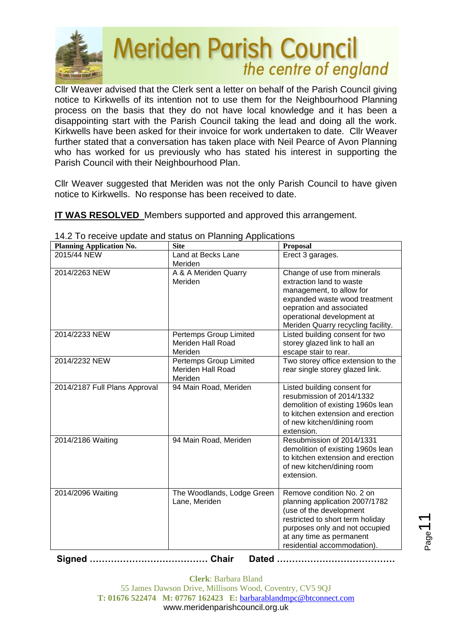

Cllr Weaver advised that the Clerk sent a letter on behalf of the Parish Council giving notice to Kirkwells of its intention not to use them for the Neighbourhood Planning process on the basis that they do not have local knowledge and it has been a disappointing start with the Parish Council taking the lead and doing all the work. Kirkwells have been asked for their invoice for work undertaken to date. Cllr Weaver further stated that a conversation has taken place with Neil Pearce of Avon Planning who has worked for us previously who has stated his interest in supporting the Parish Council with their Neighbourhood Plan.

Cllr Weaver suggested that Meriden was not the only Parish Council to have given notice to Kirkwells. No response has been received to date.

**IT WAS RESOLVED** Members supported and approved this arrangement.

| $\mathsf{F}$ . To receive apudie driu status on Fighting Applications<br><b>Planning Application No.</b> | <b>Site</b>                                            | <b>Proposal</b>                                                                                                                                                                                                         |
|----------------------------------------------------------------------------------------------------------|--------------------------------------------------------|-------------------------------------------------------------------------------------------------------------------------------------------------------------------------------------------------------------------------|
| 2015/44 NEW                                                                                              | Land at Becks Lane<br>Meriden                          | Erect 3 garages.                                                                                                                                                                                                        |
| 2014/2263 NEW                                                                                            | A & A Meriden Quarry<br>Meriden                        | Change of use from minerals<br>extraction land to waste<br>management, to allow for<br>expanded waste wood treatment<br>oepration and associated<br>operational development at<br>Meriden Quarry recycling facility.    |
| 2014/2233 NEW                                                                                            | Pertemps Group Limited<br>Meriden Hall Road<br>Meriden | Listed building consent for two<br>storey glazed link to hall an<br>escape stair to rear.                                                                                                                               |
| 2014/2232 NEW                                                                                            | Pertemps Group Limited<br>Meriden Hall Road<br>Meriden | Two storey office extension to the<br>rear single storey glazed link.                                                                                                                                                   |
| 2014/2187 Full Plans Approval                                                                            | 94 Main Road, Meriden                                  | Listed building consent for<br>resubmission of 2014/1332<br>demolition of existing 1960s lean<br>to kitchen extension and erection<br>of new kitchen/dining room<br>extension.                                          |
| 2014/2186 Waiting                                                                                        | 94 Main Road, Meriden                                  | Resubmission of 2014/1331<br>demolition of existing 1960s lean<br>to kitchen extension and erection<br>of new kitchen/dining room<br>extension.                                                                         |
| 2014/2096 Waiting                                                                                        | The Woodlands, Lodge Green<br>Lane, Meriden            | Remove condition No. 2 on<br>planning application 2007/1782<br>(use of the development<br>restricted to short term holiday<br>purposes only and not occupied<br>at any time as permanent<br>residential accommodation). |

14.2 To receive update and status on Planning Applications

**Signed ………………………………… Chair Dated …………………………………**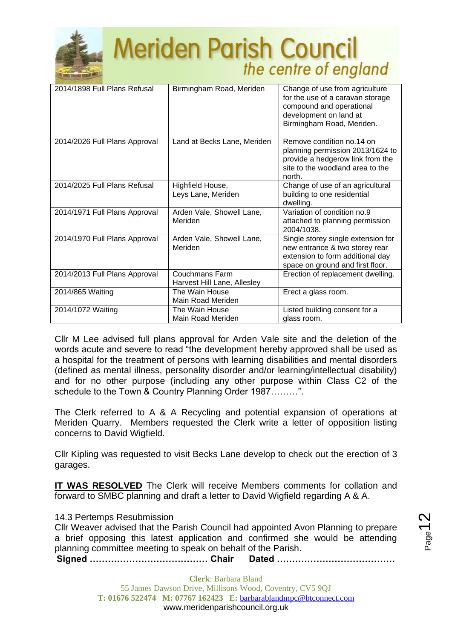

| 2014/1898 Full Plans Refusal  | Birmingham Road, Meriden                      | Change of use from agriculture<br>for the use of a caravan storage<br>compound and operational<br>development on land at<br>Birmingham Road, Meriden. |
|-------------------------------|-----------------------------------------------|-------------------------------------------------------------------------------------------------------------------------------------------------------|
| 2014/2026 Full Plans Approval | Land at Becks Lane, Meriden                   | Remove condition no.14 on<br>planning permission 2013/1624 to<br>provide a hedgerow link from the<br>site to the woodland area to the<br>north.       |
| 2014/2025 Full Plans Refusal  | Highfield House,<br>Leys Lane, Meriden        | Change of use of an agricultural<br>building to one residential<br>dwelling.                                                                          |
| 2014/1971 Full Plans Approval | Arden Vale, Showell Lane,<br>Meriden          | Variation of condition no.9<br>attached to planning permission<br>2004/1038.                                                                          |
| 2014/1970 Full Plans Approval | Arden Vale, Showell Lane,<br>Meriden          | Single storey single extension for<br>new entrance & two storey rear<br>extension to form additional day<br>space on ground and first floor.          |
| 2014/2013 Full Plans Approval | Couchmans Farm<br>Harvest Hill Lane, Allesley | Erection of replacement dwelling.                                                                                                                     |
| 2014/865 Waiting              | The Wain House<br>Main Road Meriden           | Erect a glass room.                                                                                                                                   |
| 2014/1072 Waiting             | The Wain House<br>Main Road Meriden           | Listed building consent for a<br>glass room.                                                                                                          |

Cllr M Lee advised full plans approval for Arden Vale site and the deletion of the words acute and severe to read "the development hereby approved shall be used as a hospital for the treatment of persons with learning disabilities and mental disorders (defined as mental illness, personality disorder and/or learning/intellectual disability) and for no other purpose (including any other purpose within Class C2 of the schedule to the Town & Country Planning Order 1987………".

The Clerk referred to A & A Recycling and potential expansion of operations at Meriden Quarry. Members requested the Clerk write a letter of opposition listing concerns to David Wigfield.

Cllr Kipling was requested to visit Becks Lane develop to check out the erection of 3 garages.

**IT WAS RESOLVED** The Clerk will receive Members comments for collation and forward to SMBC planning and draft a letter to David Wigfield regarding A & A.

14.3 Pertemps Resubmission

Cllr Weaver advised that the Parish Council had appointed Avon Planning to prepare a brief opposing this latest application and confirmed she would be attending planning committee meeting to speak on behalf of the Parish.

**Signed ………………………………… Chair Dated …………………………………**